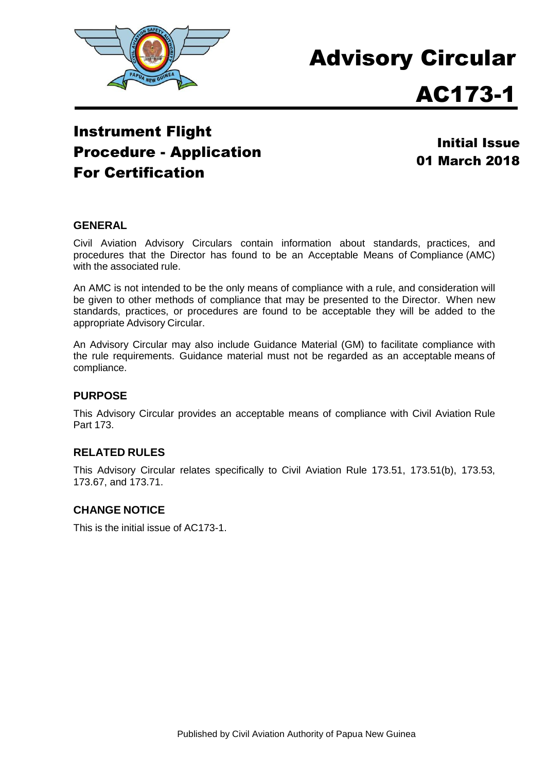

# Advisory Circular

## AC173-1

### Instrument Flight Procedure - Application For Certification

Initial Issue 01 March 2018

#### **GENERAL**

Civil Aviation Advisory Circulars contain information about standards, practices, and procedures that the Director has found to be an Acceptable Means of Compliance (AMC) with the associated rule.

An AMC is not intended to be the only means of compliance with a rule, and consideration will be given to other methods of compliance that may be presented to the Director. When new standards, practices, or procedures are found to be acceptable they will be added to the appropriate Advisory Circular.

An Advisory Circular may also include Guidance Material (GM) to facilitate compliance with the rule requirements. Guidance material must not be regarded as an acceptable means of compliance.

#### **PURPOSE**

This Advisory Circular provides an acceptable means of compliance with Civil Aviation Rule Part 173.

#### **RELATED RULES**

This Advisory Circular relates specifically to Civil Aviation Rule 173.51, 173.51(b), 173.53, 173.67, and 173.71.

#### **CHANGE NOTICE**

This is the initial issue of AC173-1.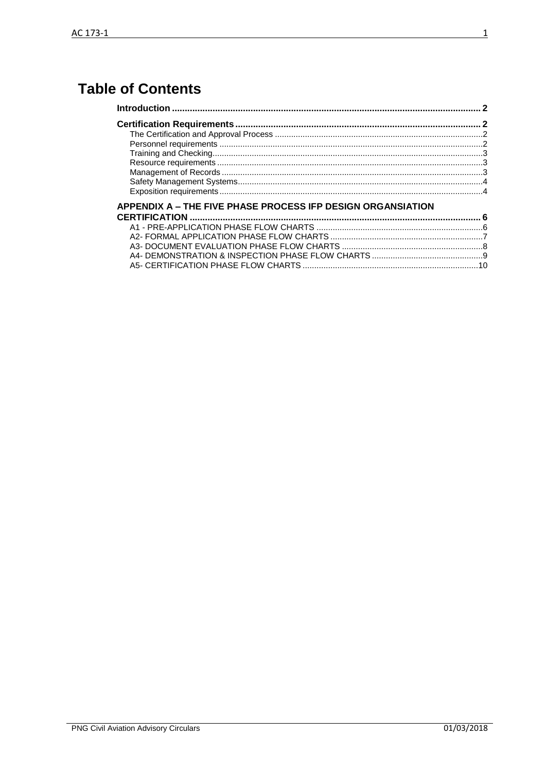## **Table of Contents**

| <b>APPENDIX A - THE FIVE PHASE PROCESS IFP DESIGN ORGANSIATION</b> |  |
|--------------------------------------------------------------------|--|
|                                                                    |  |
|                                                                    |  |
|                                                                    |  |
|                                                                    |  |
|                                                                    |  |
|                                                                    |  |
|                                                                    |  |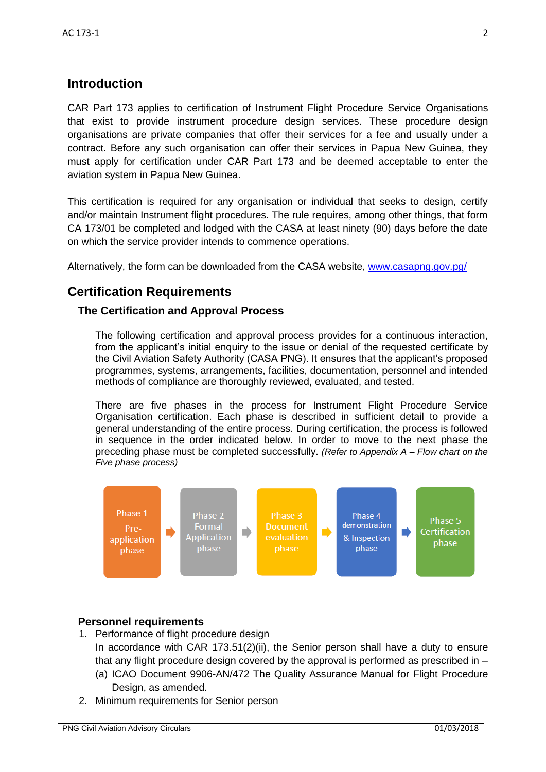#### <span id="page-2-0"></span>**Introduction**

CAR Part 173 applies to certification of Instrument Flight Procedure Service Organisations that exist to provide instrument procedure design services. These procedure design organisations are private companies that offer their services for a fee and usually under a contract. Before any such organisation can offer their services in Papua New Guinea, they must apply for certification under CAR Part 173 and be deemed acceptable to enter the aviation system in Papua New Guinea.

This certification is required for any organisation or individual that seeks to design, certify and/or maintain Instrument flight procedures. The rule requires, among other things, that form CA 173/01 be completed and lodged with the CASA at least ninety (90) days before the date on which the service provider intends to commence operations.

Alternatively, the form can be downloaded from the CASA website, [www.casapng.gov.pg/](http://www.casapng.gov.pg/)

#### <span id="page-2-1"></span>**Certification Requirements**

#### <span id="page-2-2"></span>**The Certification and Approval Process**

The following certification and approval process provides for a continuous interaction, from the applicant's initial enquiry to the issue or denial of the requested certificate by the Civil Aviation Safety Authority (CASA PNG). It ensures that the applicant's proposed programmes, systems, arrangements, facilities, documentation, personnel and intended methods of compliance are thoroughly reviewed, evaluated, and tested.

There are five phases in the process for Instrument Flight Procedure Service Organisation certification. Each phase is described in sufficient detail to provide a general understanding of the entire process. During certification, the process is followed in sequence in the order indicated below. In order to move to the next phase the preceding phase must be completed successfully. *(Refer to Appendix A – Flow chart on the Five phase process)*



#### <span id="page-2-3"></span>**Personnel requirements**

- 1. Performance of flight procedure design In accordance with CAR 173.51(2)(ii), the Senior person shall have a duty to ensure that any flight procedure design covered by the approval is performed as prescribed in –
	- (a) ICAO Document 9906-AN/472 The Quality Assurance Manual for Flight Procedure Design, as amended.
- 2. Minimum requirements for Senior person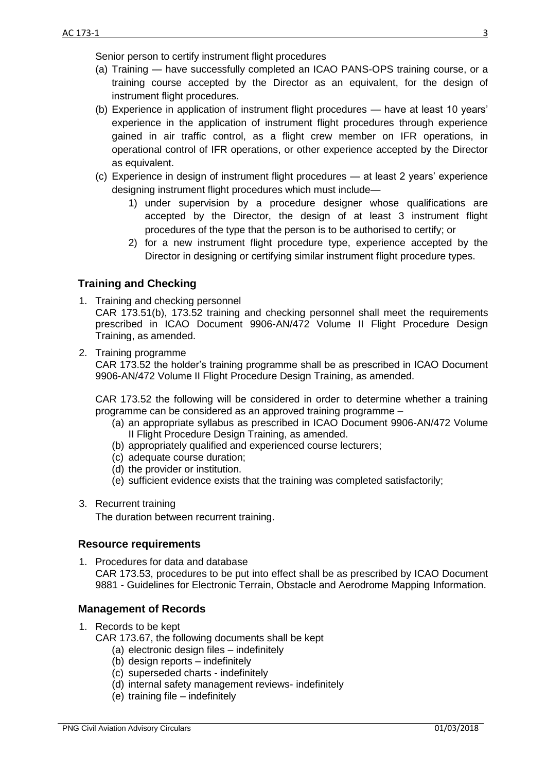Senior person to certify instrument flight procedures

- (a) Training have successfully completed an ICAO PANS-OPS training course, or a training course accepted by the Director as an equivalent, for the design of instrument flight procedures.
- (b) Experience in application of instrument flight procedures have at least 10 years' experience in the application of instrument flight procedures through experience gained in air traffic control, as a flight crew member on IFR operations, in operational control of IFR operations, or other experience accepted by the Director as equivalent.
- (c) Experience in design of instrument flight procedures at least 2 years' experience designing instrument flight procedures which must include—
	- 1) under supervision by a procedure designer whose qualifications are accepted by the Director, the design of at least 3 instrument flight procedures of the type that the person is to be authorised to certify; or
	- 2) for a new instrument flight procedure type, experience accepted by the Director in designing or certifying similar instrument flight procedure types.

#### <span id="page-3-0"></span>**Training and Checking**

- 1. Training and checking personnel CAR 173.51(b), 173.52 training and checking personnel shall meet the requirements prescribed in ICAO Document 9906-AN/472 Volume II Flight Procedure Design Training, as amended.
- 2. Training programme

CAR 173.52 the holder's training programme shall be as prescribed in ICAO Document 9906-AN/472 Volume II Flight Procedure Design Training, as amended.

CAR 173.52 the following will be considered in order to determine whether a training programme can be considered as an approved training programme –

- (a) an appropriate syllabus as prescribed in ICAO Document 9906-AN/472 Volume II Flight Procedure Design Training, as amended.
- (b) appropriately qualified and experienced course lecturers;
- (c) adequate course duration;
- (d) the provider or institution.
- (e) sufficient evidence exists that the training was completed satisfactorily;
- 3. Recurrent training

The duration between recurrent training.

#### <span id="page-3-1"></span>**Resource requirements**

1. Procedures for data and database CAR 173.53, procedures to be put into effect shall be as prescribed by ICAO Document 9881 - Guidelines for Electronic Terrain, Obstacle and Aerodrome Mapping Information.

#### <span id="page-3-2"></span>**Management of Records**

- 1. Records to be kept
	- CAR 173.67, the following documents shall be kept
		- (a) electronic design files indefinitely
		- (b) design reports indefinitely
		- (c) superseded charts indefinitely
		- (d) internal safety management reviews- indefinitely
		- (e) training file indefinitely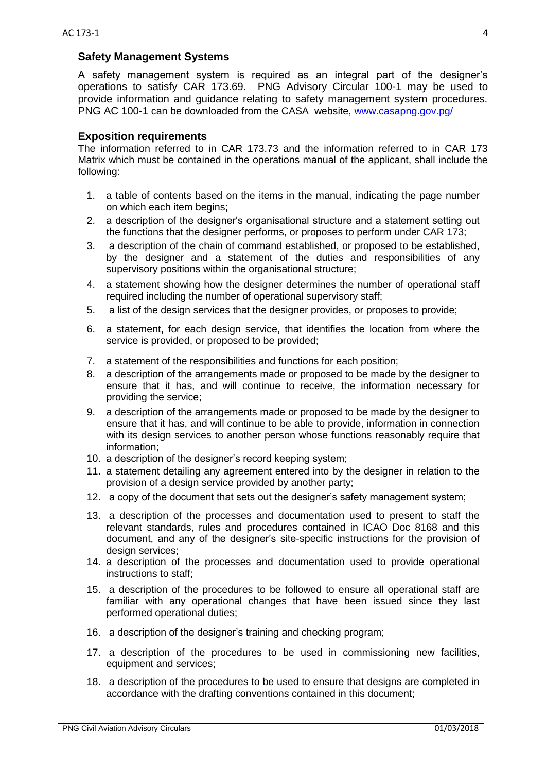#### <span id="page-4-0"></span>**Safety Management Systems**

A safety management system is required as an integral part of the designer's operations to satisfy CAR 173.69. PNG Advisory Circular 100-1 may be used to provide information and guidance relating to safety management system procedures. PNG AC 100-1 can be downloaded from the CASA website, [www.casapng.gov.pg/](http://www.casapng.gov.pg/)

#### <span id="page-4-1"></span>**Exposition requirements**

The information referred to in CAR 173.73 and the information referred to in CAR 173 Matrix which must be contained in the operations manual of the applicant, shall include the following:

- 1. a table of contents based on the items in the manual, indicating the page number on which each item begins;
- 2. a description of the designer's organisational structure and a statement setting out the functions that the designer performs, or proposes to perform under CAR 173;
- 3. a description of the chain of command established, or proposed to be established, by the designer and a statement of the duties and responsibilities of any supervisory positions within the organisational structure;
- 4. a statement showing how the designer determines the number of operational staff required including the number of operational supervisory staff;
- 5. a list of the design services that the designer provides, or proposes to provide;
- 6. a statement, for each design service, that identifies the location from where the service is provided, or proposed to be provided;
- 7. a statement of the responsibilities and functions for each position;
- 8. a description of the arrangements made or proposed to be made by the designer to ensure that it has, and will continue to receive, the information necessary for providing the service;
- 9. a description of the arrangements made or proposed to be made by the designer to ensure that it has, and will continue to be able to provide, information in connection with its design services to another person whose functions reasonably require that information;
- 10. a description of the designer's record keeping system;
- 11. a statement detailing any agreement entered into by the designer in relation to the provision of a design service provided by another party;
- 12. a copy of the document that sets out the designer's safety management system;
- 13. a description of the processes and documentation used to present to staff the relevant standards, rules and procedures contained in ICAO Doc 8168 and this document, and any of the designer's site-specific instructions for the provision of design services;
- 14. a description of the processes and documentation used to provide operational instructions to staff;
- 15. a description of the procedures to be followed to ensure all operational staff are familiar with any operational changes that have been issued since they last performed operational duties;
- 16. a description of the designer's training and checking program;
- 17. a description of the procedures to be used in commissioning new facilities, equipment and services;
- 18. a description of the procedures to be used to ensure that designs are completed in accordance with the drafting conventions contained in this document;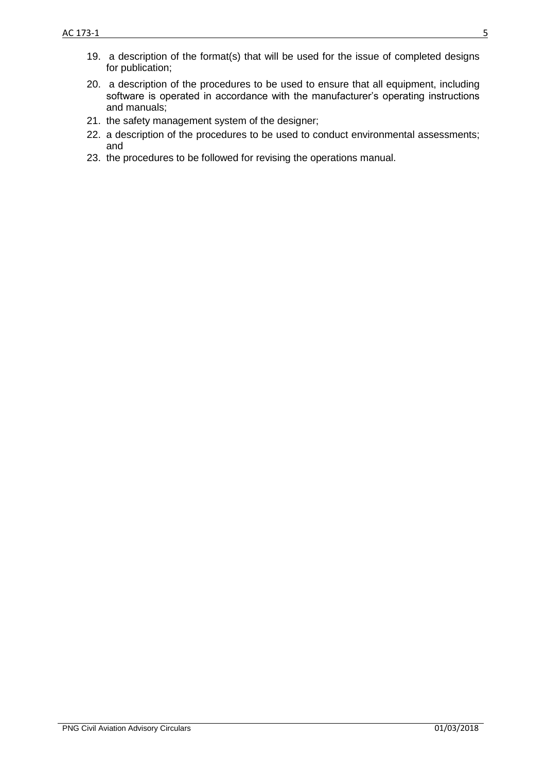- 20. a description of the procedures to be used to ensure that all equipment, including software is operated in accordance with the manufacturer's operating instructions and manuals;
- 21. the safety management system of the designer;
- 22. a description of the procedures to be used to conduct environmental assessments; and
- 23. the procedures to be followed for revising the operations manual.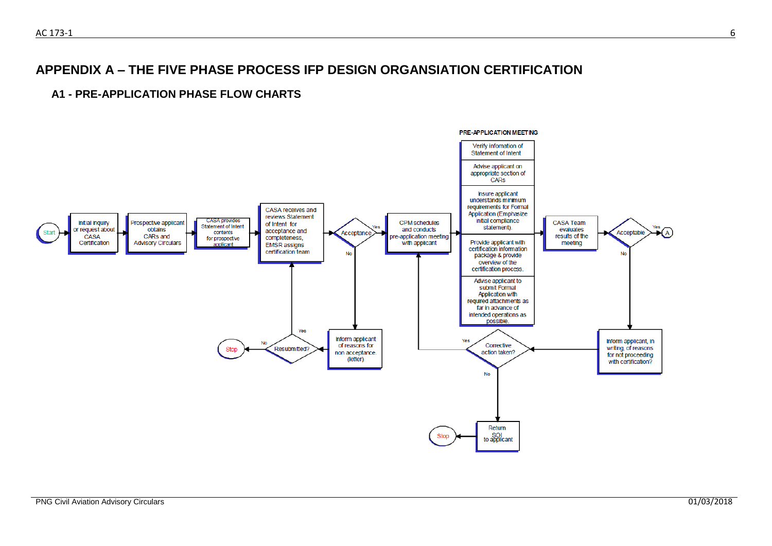#### **APPENDIX A – THE FIVE PHASE PROCESS IFP DESIGN ORGANSIATION CERTIFICATION**

#### **A1 - PRE-APPLICATION PHASE FLOW CHARTS**

<span id="page-6-1"></span><span id="page-6-0"></span>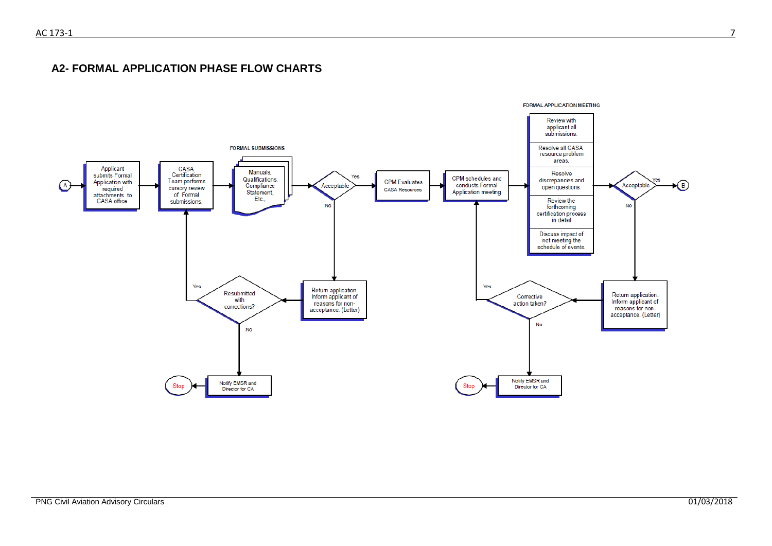**A2- FORMAL APPLICATION PHASE FLOW CHARTS**

<span id="page-7-0"></span>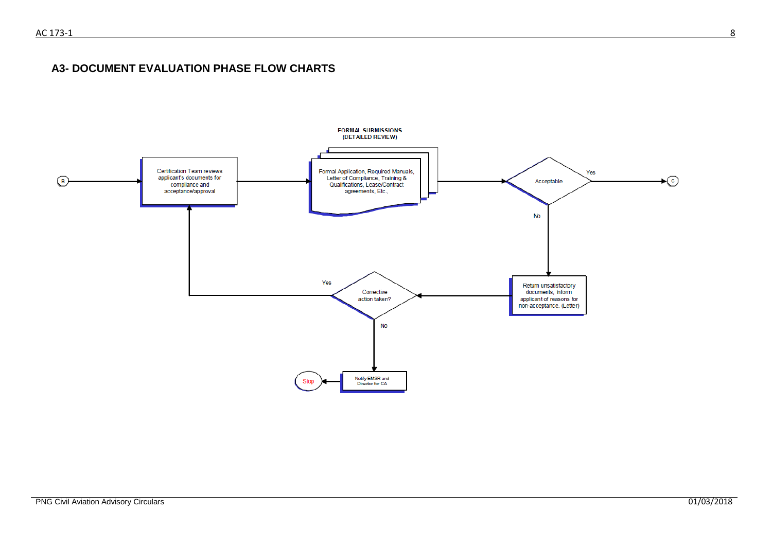#### **A3- DOCUMENT EVALUATION PHASE FLOW CHARTS**

<span id="page-8-0"></span>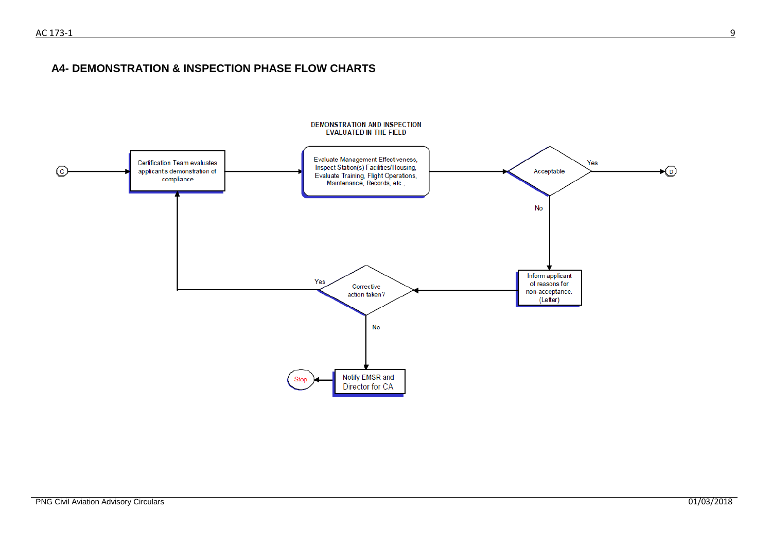#### **A4- DEMONSTRATION & INSPECTION PHASE FLOW CHARTS**

<span id="page-9-0"></span>